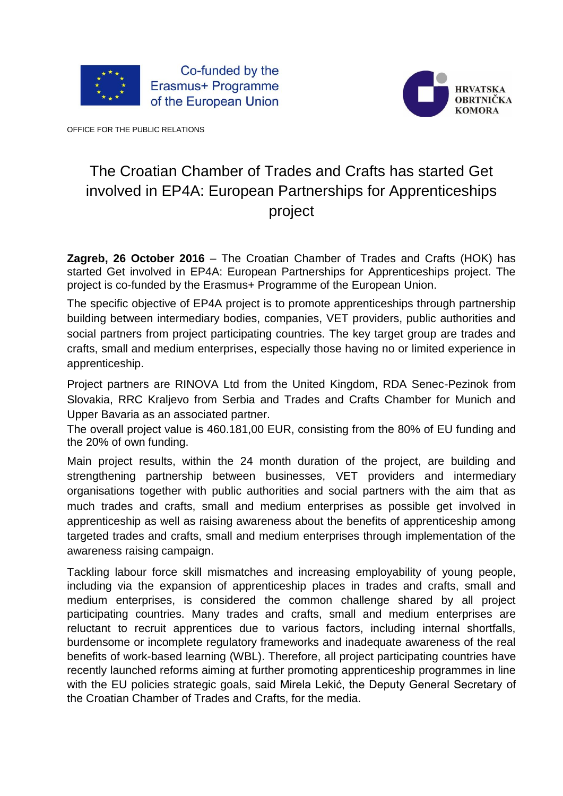



OFFICE FOR THE PUBLIC RELATIONS

## The Croatian Chamber of Trades and Crafts has started Get involved in EP4A: European Partnerships for Apprenticeships project

**Zagreb, 26 October 2016** – The Croatian Chamber of Trades and Crafts (HOK) has started Get involved in EP4A: European Partnerships for Apprenticeships project. The project is co-funded by the Erasmus+ Programme of the European Union.

The specific objective of EP4A project is to promote apprenticeships through partnership building between intermediary bodies, companies, VET providers, public authorities and social partners from project participating countries. The key target group are trades and crafts, small and medium enterprises, especially those having no or limited experience in apprenticeship.

Project partners are RINOVA Ltd from the United Kingdom, RDA Senec-Pezinok from Slovakia, RRC Kraljevo from Serbia and Trades and Crafts Chamber for Munich and Upper Bavaria as an associated partner.

The overall project value is 460.181,00 EUR, consisting from the 80% of EU funding and the 20% of own funding.

Main project results, within the 24 month duration of the project, are building and strengthening partnership between businesses, VET providers and intermediary organisations together with public authorities and social partners with the aim that as much trades and crafts, small and medium enterprises as possible get involved in apprenticeship as well as raising awareness about the benefits of apprenticeship among targeted trades and crafts, small and medium enterprises through implementation of the awareness raising campaign.

Tackling labour force skill mismatches and increasing employability of young people, including via the expansion of apprenticeship places in trades and crafts, small and medium enterprises, is considered the common challenge shared by all project participating countries. Many trades and crafts, small and medium enterprises are reluctant to recruit apprentices due to various factors, including internal shortfalls, burdensome or incomplete regulatory frameworks and inadequate awareness of the real benefits of work-based learning (WBL). Therefore, all project participating countries have recently launched reforms aiming at further promoting apprenticeship programmes in line with the EU policies strategic goals, said Mirela Lekić, the Deputy General Secretary of the Croatian Chamber of Trades and Crafts, for the media.